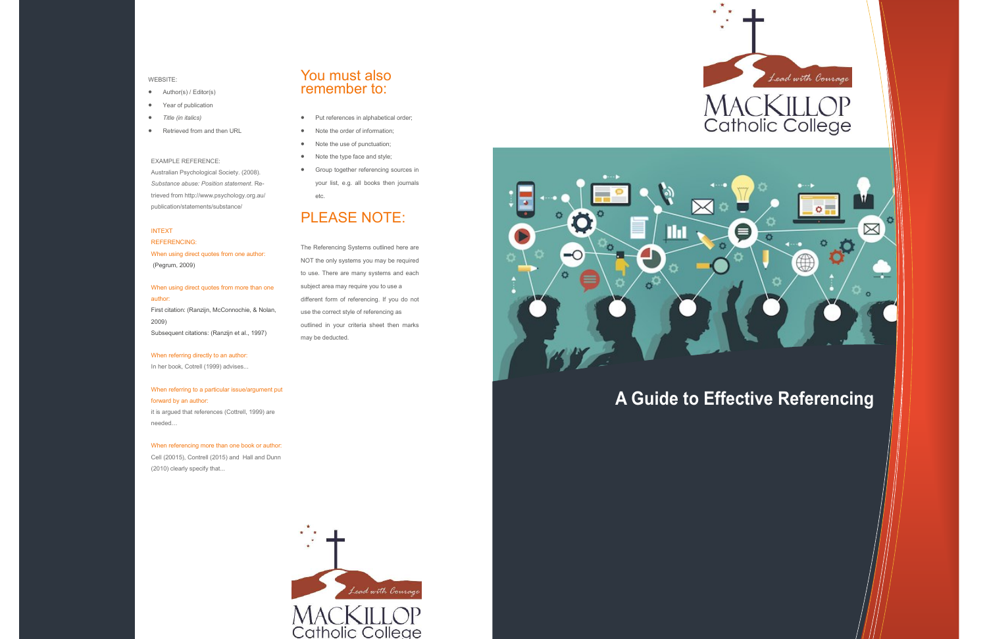# **A Guide to Effective Referencing**



### INTEXT

REFERENCING: When using direct quotes from one author: (Pegrum, 2009)

When using direct quotes from more than one author:

First citation: (Ranzijn, McConnochie, & Nolan, 2009) Subsequent citations: (Ranzijn et al., 1997)

### When referring directly to an author:

In her book, Cotrell (1999) advises...

## When referring to a particular issue/argument put forward by an author:

it is argued that references (Cottrell, 1999) are needed…

When referencing more than one book or author: Cell (20015), Contrell (2015) and Hall and Dunn (2010) clearly specify that...



- Put references in alphabetical order;
- Note the order of information;
- Note the use of punctuation;
- Note the type face and style;
- **•** Group together referencing sources in your list, e.g. all books then journals etc.

### WEBSITE:

- Author(s) / Editor(s)
- Year of publication
- *Title (in italics)*
- Retrieved from and then URL

### EXAMPLE REFERENCE:

Australian Psychological Society. (2008). *Substance abuse: Position statement*. Retrieved from http://www.psychology.org.au/ publication/statements/substance/

## You must also remember to:

# PLEASE NOTE:

The Referencing Systems outlined here are NOT the only systems you may be required to use. There are many systems and each subject area may require you to use a different form of referencing. If you do not use the correct style of referencing as outlined in your criteria sheet then marks may be deducted.